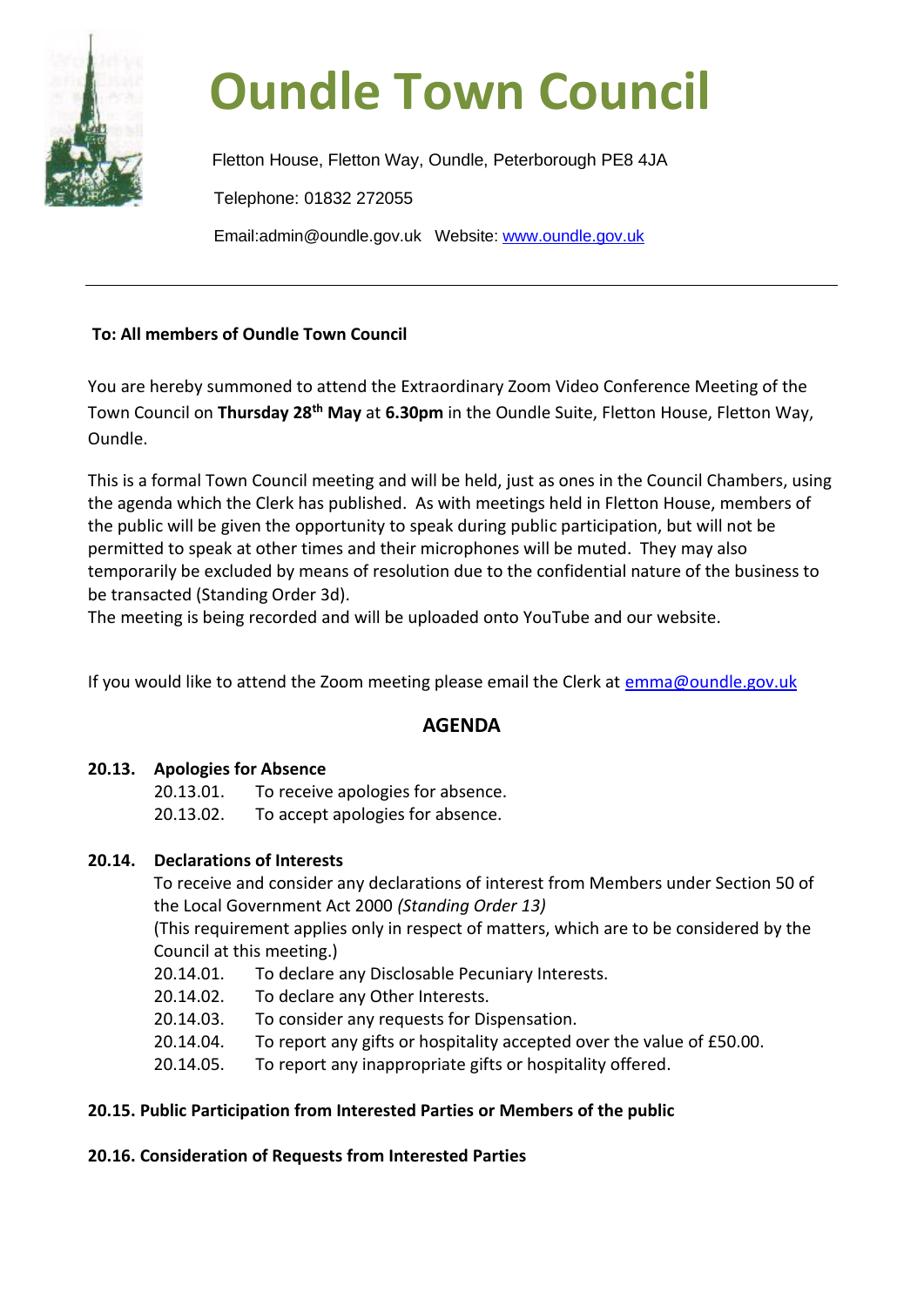

# **Oundle Town Council**

Fletton House, Fletton Way, Oundle, Peterborough PE8 4JA Telephone: 01832 272055 Email:admin@oundle.gov.uk Website: [www.oundle.gov.uk](http://www.oundle.gov.uk/)

### **To: All members of Oundle Town Council**

You are hereby summoned to attend the Extraordinary Zoom Video Conference Meeting of the Town Council on **Thursday 28th May** at **6.30pm** in the Oundle Suite, Fletton House, Fletton Way, Oundle.

This is a formal Town Council meeting and will be held, just as ones in the Council Chambers, using the agenda which the Clerk has published. As with meetings held in Fletton House, members of the public will be given the opportunity to speak during public participation, but will not be permitted to speak at other times and their microphones will be muted. They may also temporarily be excluded by means of resolution due to the confidential nature of the business to be transacted (Standing Order 3d).

The meeting is being recorded and will be uploaded onto YouTube and our website.

If you would like to attend the Zoom meeting please email the Clerk at [emma@oundle.gov.uk](mailto:emma@oundle.gov.uk)

## **AGENDA**

#### **20.13. Apologies for Absence**

- 20.13.01. To receive apologies for absence.
- 20.13.02. To accept apologies for absence.

#### **20.14. Declarations of Interests**

To receive and consider any declarations of interest from Members under Section 50 of the Local Government Act 2000 *(Standing Order 13)*

(This requirement applies only in respect of matters, which are to be considered by the Council at this meeting.)

- 20.14.01. To declare any Disclosable Pecuniary Interests.
- 20.14.02. To declare any Other Interests.
- 20.14.03. To consider any requests for Dispensation.
- 20.14.04. To report any gifts or hospitality accepted over the value of £50.00.
- 20.14.05. To report any inappropriate gifts or hospitality offered.

#### **20.15. Public Participation from Interested Parties or Members of the public**

#### **20.16. Consideration of Requests from Interested Parties**